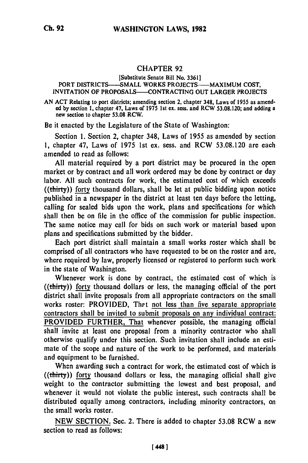## CHAPTER **92**

## [Substitute Senate Bill No. **3361]** PORT DISTRICTS---SMALL WORKS **PROJECTS- MAXIMUM COST,** INVITATION OF **PROPOSALS--CONTRACTING OUT** LARGER **PROJECTS**

**AN ACT** Relating to port districts; amending section 2, chapter 348, Laws of **1955** as amend**ed by** section **1,** chapter 47, Laws of **1975** 1st ex. sess. and RCW **53.08.120;** and adding a ed by section 1, chapter 47, Laws of 1975 1st ex. sess. and RCW 53.08.120; and adding a new section to chapter 53.08 RCW.

Be it enacted **by** the Legislature of the State of Washington:

Section **1.** Section 2, chapter 348, Laws of **1955** as amended **by** section **1,** chapter 47, Laws of **1975 1st** ex. sess. and RCW **53.08.120** are each amended to read as follows:

**All** material required **by** a port district may be procured in the open market or **by** contract and all work ordered may be done **by** contract or day labor. All such contracts for work, the estimated cost of which exceeds ((thirty)) forty thousand dollars, shall be let at public bidding upon notice published in a newspaper in the district at least ten days before the letting, calling for sealed bids upon the work, plans and specifications for which shall then be on file in the office of the commission for public inspection. The same notice may call for bids on such work or material based upon plans and specifications submitted **by** the bidder.

Each port district shall maintain a small works roster which shall be comprised of all contractors who have requested to be on the roster and are, where required **by** law, properly licensed or registered to perform such work in the state of Washington.

Whenever work is done **by** contract, the estimated cost of which is ((thirty)) forty thousand dollars or less, the managing official of the port district shall invite proposals from all appropriate contractors on the small works roster: PROVIDED, That not less than five separate appropriate contractors shall be invited to submit proposals on any individual contract: PROVIDED FURTHER, That whenever possible, the managing official shall invite at least one proposal from a minority contractor who shall otherwise qualify under this section. Such invitation shall include an estimate of the scope and nature of the work to be performed, and materials and equipment to be furnished.

When awarding such a contract for work, the estimated cost of which is ((thirty)) forty thousand dollars or less, the managing official shall give weight to the contractor submitting the lowest and best proposal, and whenever it would not violate the public interest, such contracts shall be distributed equally among contractors, including minority contractors, on the small works roster.

NEW SECTION. Sec. 2. There is added to chapter 53.08 RCW a new section to read as follows: